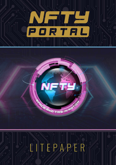

# L I T E P A P E R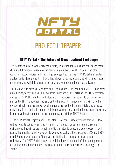

## PROJECT LITEPAPER

#### **NFTY Portal - The Future of Decentralized Exchanges**

Welcome to a world where traders, artists, collectors, musicians and others can trade NFTs in a fully decentralized environment using our exclusive NFTY Coins and other popular cryptocurrencies in this exciting, emergent space. The NFTY Portal is a newlycreated, under development NFT Dex that allows for coins, tokens and NFTs to be traded all-in-one place, which is currently not an available option in the crypto universe.

Our vision is to have NFTY minted coins, tokens and NFTs, and also ERC, BSC and other minted coins, tokens and NFTs all available under one NFTY Portal or Dex. The extremely low fees of NFTY NFT minting will allow artists, musicians and others to cost-effectively mint on the NFTY blockchain rather than the high-gas ETH network. This will have the effect of simplifying the market by eliminating the need to list on multiple platforms. All operations, from trading to minting will be conveniently executed in the safe and powerful, decentralized environment of our revolutionary, proprietary NFTY Portal.

The NFTY Portal Project's goal is to release a decentralized exchange that will allow parties to trade coins, tokens and NFTs all from one exchange in a safe and secure environment that will be cross chain, multichain, atomic swap, and peer-to-peer. It will access the massive liquidity pools of large swaps such as the Eth-based UniSwap, BSCbased Pancakeswap and also 1inch, yet not limited to these platforms or chains exclusively. The NFTY Portal ecosystem will be the gold standard of this exciting space and will become the benchmark and reference for future decentralized exchanges or Portals.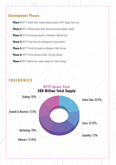#### **Development Phases**

**Phase 1:** NFTY Wallet build, Genesis block creation, NFTY Space Coin mint **Phase 2:** NFTY Website basic build, then professional update/launch **Phase 3:** NFTY Portal base launch on Windows/ Web Version **Phase 4: NFTY Time Dao Coin airdropped to Space holders Phase 5:** NFTY Portal full launch on Windows/ Web Version **Phase 6:** NFTY Portal release on MAC, iOS and Android **Phase 7:** NFTY Motion low-supply release for Yield Farming

### **T O K E N O M I C S**